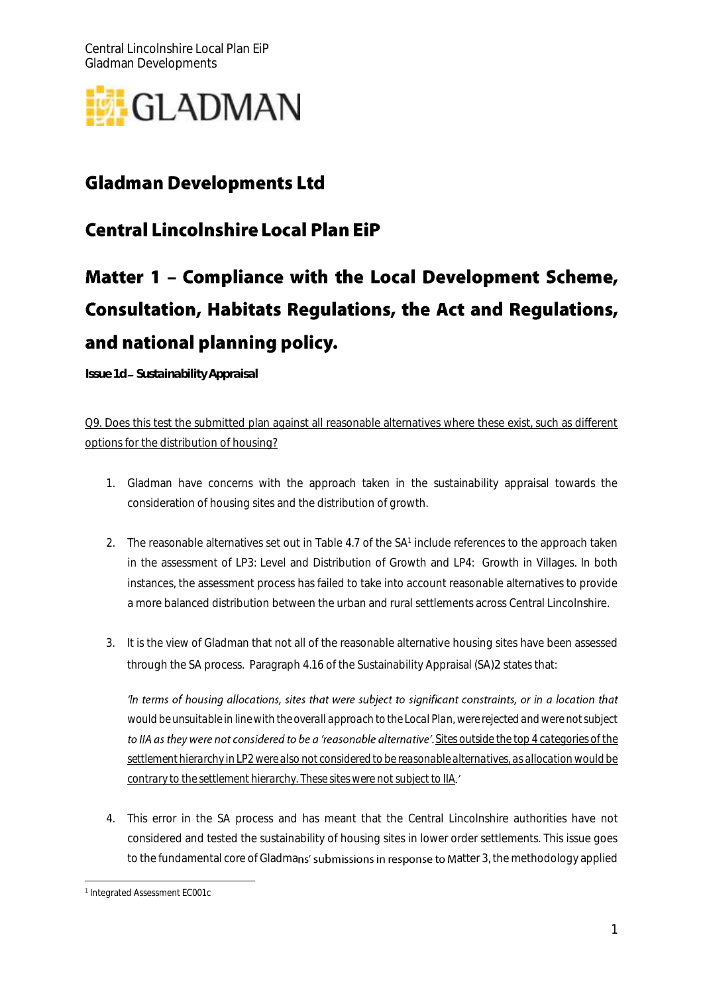

## **Gladman Developments Ltd**

## **Central Lincolnshire Local Plan EiP**

## Matter 1 - Compliance with the Local Development Scheme, **Consultation, Habitats Regulations, the Act and Regulations,** and national planning policy.  $\overline{a}$

*Issue 1d Sustainability Appraisal* 

Q9. Does this test the submitted plan against all reasonable alternatives where these exist, such as different options for the distribution of housing?

- 1. Gladman have concerns with the approach taken in the sustainability appraisal towards the consideration of housing sites and the distribution of growth.
- 2. The reasonable alternatives set out in Table 4.7 of the SA<sup>1</sup> include references to the approach taken in the assessment of LP3: Level and Distribution of Growth and LP4: Growth in Villages. In both instances, the assessment process has failed to take into account reasonable alternatives to provide a more balanced distribution between the urban and rural settlements across Central Lincolnshire.
- 3. It is the view of Gladman that not all of the reasonable alternative housing sites have been assessed through the SA process. Paragraph 4.16 of the Sustainability Appraisal (SA)2 states that:

'In terms of housing allocations, sites that were subject to significant constraints, or in a location that *would be unsuitable in line with the overall approach to the Local Plan, were rejected and were not subject*  to IIA as they were not considered to be a 'reasonable alternative'. Sites outside the top 4 categories of the *settlement hierarchy in LP2 were also not considered to be reasonable alternatives, as allocation would be contrary to the settlement hierarchy. These sites were not subject to IIA*

4. This error in the SA process and has meant that the Central Lincolnshire authorities have not considered and tested the sustainability of housing sites in lower order settlements. This issue goes to the fundamental core of Gladmans' submissions in response to Matter 3, the methodology applied

 1 Integrated Assessment EC001c